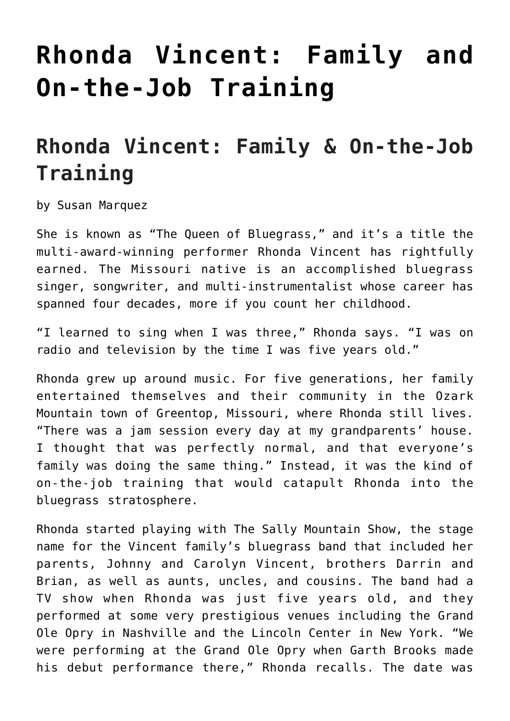## **[Rhonda Vincent: Family and](https://thebluegrassstandard.com/rhonda-vincent-family-and-on-the-job-training/) [On-the-Job Training](https://thebluegrassstandard.com/rhonda-vincent-family-and-on-the-job-training/)**

## **Rhonda Vincent: Family & On-the-Job Training**

by Susan Marquez

She is known as "The Queen of Bluegrass," and it's a title the multi-award-winning performer Rhonda Vincent has rightfully earned. The Missouri native is an accomplished bluegrass singer, songwriter, and multi-instrumentalist whose career has spanned four decades, more if you count her childhood.

"I learned to sing when I was three," Rhonda says. "I was on radio and television by the time I was five years old."

Rhonda grew up around music. For five generations, her family entertained themselves and their community in the Ozark Mountain town of Greentop, Missouri, where Rhonda still lives. "There was a jam session every day at my grandparents' house. I thought that was perfectly normal, and that everyone's family was doing the same thing." Instead, it was the kind of on-the-job training that would catapult Rhonda into the bluegrass stratosphere.

Rhonda started playing with The Sally Mountain Show, the stage name for the Vincent family's bluegrass band that included her parents, Johnny and Carolyn Vincent, brothers Darrin and Brian, as well as aunts, uncles, and cousins. The band had a TV show when Rhonda was just five years old, and they performed at some very prestigious venues including the Grand Ole Opry in Nashville and the Lincoln Center in New York. "We were performing at the Grand Ole Opry when Garth Brooks made his debut performance there," Rhonda recalls. The date was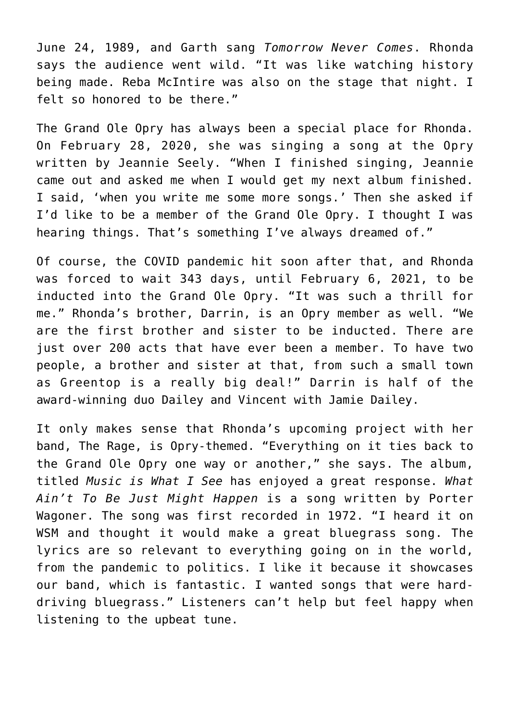June 24, 1989, and Garth sang *Tomorrow Never Comes*. Rhonda says the audience went wild. "It was like watching history being made. Reba McIntire was also on the stage that night. I felt so honored to be there."

The Grand Ole Opry has always been a special place for Rhonda. On February 28, 2020, she was singing a song at the Opry written by Jeannie Seely. "When I finished singing, Jeannie came out and asked me when I would get my next album finished. I said, 'when you write me some more songs.' Then she asked if I'd like to be a member of the Grand Ole Opry. I thought I was hearing things. That's something I've always dreamed of."

Of course, the COVID pandemic hit soon after that, and Rhonda was forced to wait 343 days, until February 6, 2021, to be inducted into the Grand Ole Opry. "It was such a thrill for me." Rhonda's brother, Darrin, is an Opry member as well. "We are the first brother and sister to be inducted. There are just over 200 acts that have ever been a member. To have two people, a brother and sister at that, from such a small town as Greentop is a really big deal!" Darrin is half of the award-winning duo Dailey and Vincent with Jamie Dailey.

It only makes sense that Rhonda's upcoming project with her band, The Rage, is Opry-themed. "Everything on it ties back to the Grand Ole Opry one way or another," she says. The album, titled *Music is What I See* has enjoyed a great response. *What Ain't To Be Just Might Happen* is a song written by Porter Wagoner. The song was first recorded in 1972. "I heard it on WSM and thought it would make a great bluegrass song. The lyrics are so relevant to everything going on in the world, from the pandemic to politics. I like it because it showcases our band, which is fantastic. I wanted songs that were harddriving bluegrass." Listeners can't help but feel happy when listening to the upbeat tune.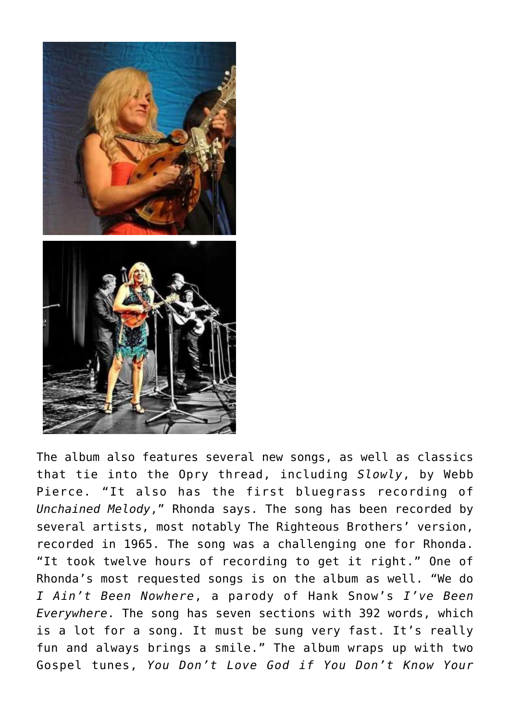

The album also features several new songs, as well as classics that tie into the Opry thread, including *Slowly*, by Webb Pierce. "It also has the first bluegrass recording of *Unchained Melody*," Rhonda says. The song has been recorded by several artists, most notably The Righteous Brothers' version, recorded in 1965. The song was a challenging one for Rhonda. "It took twelve hours of recording to get it right." One of Rhonda's most requested songs is on the album as well. "We do *I Ain't Been Nowhere*, a parody of Hank Snow's *I've Been Everywhere*. The song has seven sections with 392 words, which is a lot for a song. It must be sung very fast. It's really fun and always brings a smile." The album wraps up with two Gospel tunes, *You Don't Love God if You Don't Know Your*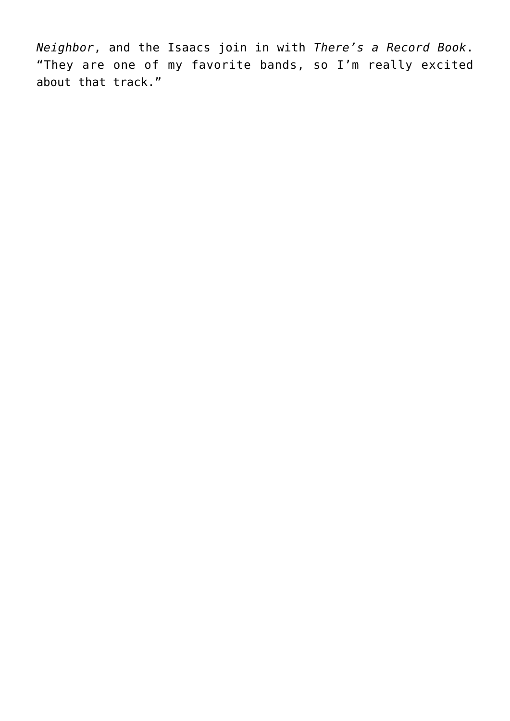*Neighbor*, and the Isaacs join in with *There's a Record Book*. "They are one of my favorite bands, so I'm really excited about that track."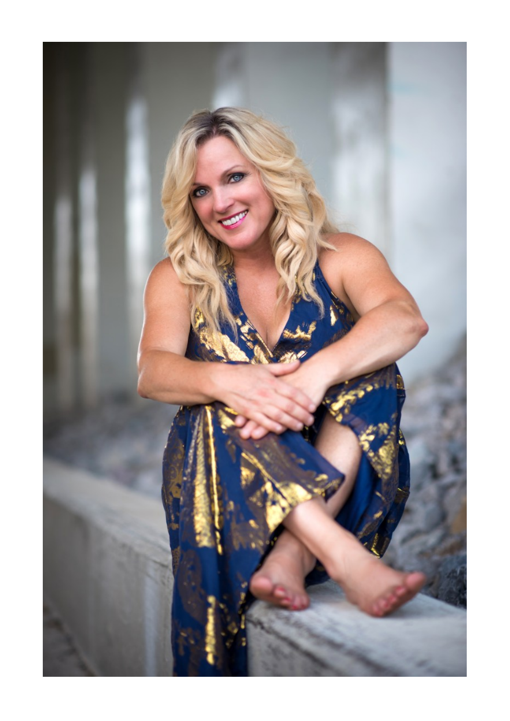